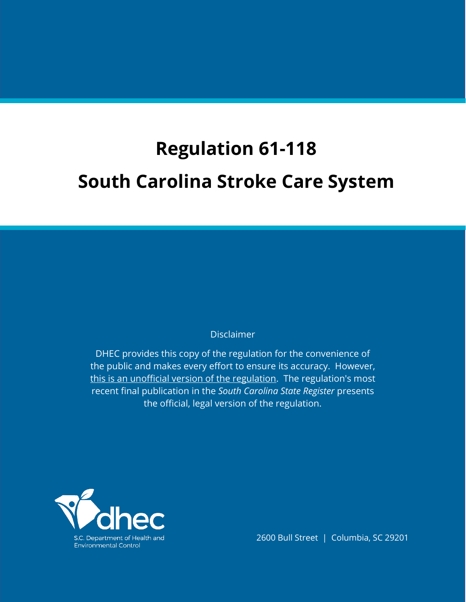# **Regulation 61-118 South Carolina Stroke Care System**

# **Disclaimer**

DHEC provides this copy of the regulation for the convenience of the public and makes every effort to ensure its accuracy. However, this is an unofficial version of the regulation. The regulation's most recent final publication in the *South Carolina State Register* presents the official, legal version of the regulation.



2600 Bull Street | Columbia, SC 29201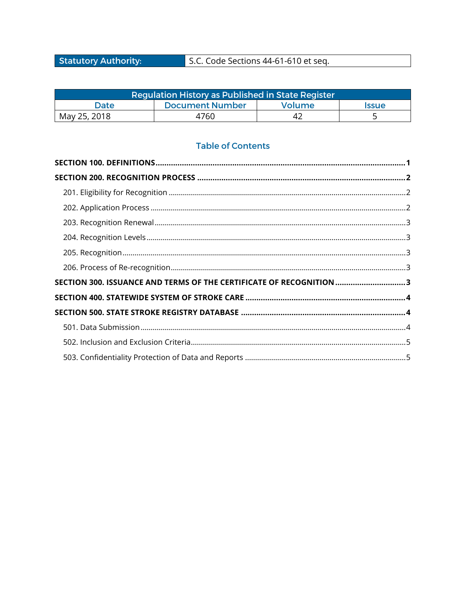**Statutory Authority:** 

# S.C. Code Sections 44-61-610 et seq.

| Regulation History as Published in St <u>ate Register</u> ! |                 |        |                     |  |
|-------------------------------------------------------------|-----------------|--------|---------------------|--|
| Date                                                        | Document Number | Volume | <i><b>Issue</b></i> |  |
| May 25, 2018                                                | 4760            | ے 4    |                     |  |

# **Table of Contents**

| SECTION 300. ISSUANCE AND TERMS OF THE CERTIFICATE OF RECOGNITION3 |  |
|--------------------------------------------------------------------|--|
|                                                                    |  |
|                                                                    |  |
|                                                                    |  |
|                                                                    |  |
|                                                                    |  |
|                                                                    |  |
|                                                                    |  |
|                                                                    |  |
|                                                                    |  |
|                                                                    |  |
|                                                                    |  |
|                                                                    |  |
|                                                                    |  |
|                                                                    |  |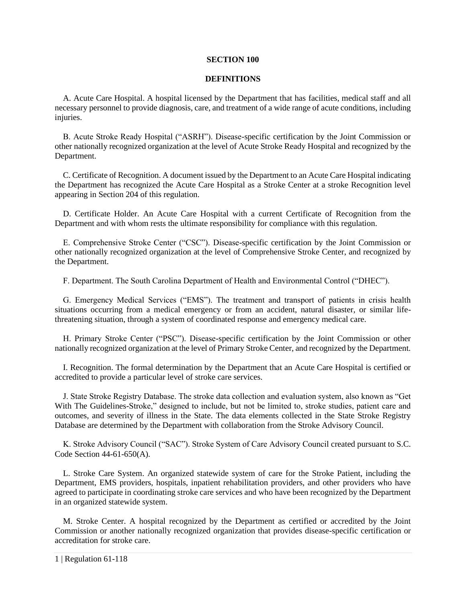#### **SECTION 100**

#### **DEFINITIONS**

<span id="page-2-0"></span>A. Acute Care Hospital. A hospital licensed by the Department that has facilities, medical staff and all necessary personnel to provide diagnosis, care, and treatment of a wide range of acute conditions, including injuries.

B. Acute Stroke Ready Hospital ("ASRH"). Disease-specific certification by the Joint Commission or other nationally recognized organization at the level of Acute Stroke Ready Hospital and recognized by the Department.

C. Certificate of Recognition. A document issued by the Department to an Acute Care Hospital indicating the Department has recognized the Acute Care Hospital as a Stroke Center at a stroke Recognition level appearing in Section 204 of this regulation.

D. Certificate Holder. An Acute Care Hospital with a current Certificate of Recognition from the Department and with whom rests the ultimate responsibility for compliance with this regulation.

E. Comprehensive Stroke Center ("CSC"). Disease-specific certification by the Joint Commission or other nationally recognized organization at the level of Comprehensive Stroke Center, and recognized by the Department.

F. Department. The South Carolina Department of Health and Environmental Control ("DHEC").

G. Emergency Medical Services ("EMS"). The treatment and transport of patients in crisis health situations occurring from a medical emergency or from an accident, natural disaster, or similar lifethreatening situation, through a system of coordinated response and emergency medical care.

H. Primary Stroke Center ("PSC"). Disease-specific certification by the Joint Commission or other nationally recognized organization at the level of Primary Stroke Center, and recognized by the Department.

I. Recognition. The formal determination by the Department that an Acute Care Hospital is certified or accredited to provide a particular level of stroke care services.

J. State Stroke Registry Database. The stroke data collection and evaluation system, also known as "Get With The Guidelines-Stroke," designed to include, but not be limited to, stroke studies, patient care and outcomes, and severity of illness in the State. The data elements collected in the State Stroke Registry Database are determined by the Department with collaboration from the Stroke Advisory Council.

K. Stroke Advisory Council ("SAC"). Stroke System of Care Advisory Council created pursuant to S.C. Code Section 44-61-650(A).

L. Stroke Care System. An organized statewide system of care for the Stroke Patient, including the Department, EMS providers, hospitals, inpatient rehabilitation providers, and other providers who have agreed to participate in coordinating stroke care services and who have been recognized by the Department in an organized statewide system.

M. Stroke Center. A hospital recognized by the Department as certified or accredited by the Joint Commission or another nationally recognized organization that provides disease-specific certification or accreditation for stroke care.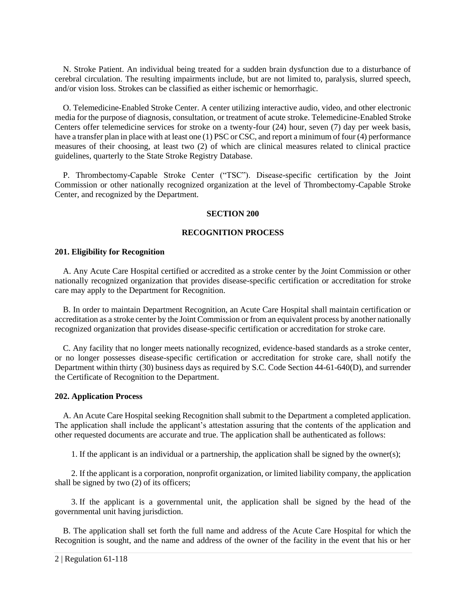N. Stroke Patient. An individual being treated for a sudden brain dysfunction due to a disturbance of cerebral circulation. The resulting impairments include, but are not limited to, paralysis, slurred speech, and/or vision loss. Strokes can be classified as either ischemic or hemorrhagic.

O. Telemedicine-Enabled Stroke Center. A center utilizing interactive audio, video, and other electronic media for the purpose of diagnosis, consultation, or treatment of acute stroke. Telemedicine-Enabled Stroke Centers offer telemedicine services for stroke on a twenty-four (24) hour, seven (7) day per week basis, have a transfer plan in place with at least one (1) PSC or CSC, and report a minimum of four (4) performance measures of their choosing, at least two (2) of which are clinical measures related to clinical practice guidelines, quarterly to the State Stroke Registry Database.

<span id="page-3-0"></span>P. Thrombectomy-Capable Stroke Center ("TSC"). Disease-specific certification by the Joint Commission or other nationally recognized organization at the level of Thrombectomy-Capable Stroke Center, and recognized by the Department.

#### **SECTION 200**

#### **RECOGNITION PROCESS**

#### <span id="page-3-1"></span>**201. Eligibility for Recognition**

A. Any Acute Care Hospital certified or accredited as a stroke center by the Joint Commission or other nationally recognized organization that provides disease-specific certification or accreditation for stroke care may apply to the Department for Recognition.

B. In order to maintain Department Recognition, an Acute Care Hospital shall maintain certification or accreditation as a stroke center by the Joint Commission or from an equivalent process by another nationally recognized organization that provides disease-specific certification or accreditation for stroke care.

C. Any facility that no longer meets nationally recognized, evidence-based standards as a stroke center, or no longer possesses disease-specific certification or accreditation for stroke care, shall notify the Department within thirty (30) business days as required by S.C. Code Section 44-61-640(D), and surrender the Certificate of Recognition to the Department.

#### <span id="page-3-2"></span>**202. Application Process**

A. An Acute Care Hospital seeking Recognition shall submit to the Department a completed application. The application shall include the applicant's attestation assuring that the contents of the application and other requested documents are accurate and true. The application shall be authenticated as follows:

1. If the applicant is an individual or a partnership, the application shall be signed by the owner(s);

2. If the applicant is a corporation, nonprofit organization, or limited liability company, the application shall be signed by two (2) of its officers;

3. If the applicant is a governmental unit, the application shall be signed by the head of the governmental unit having jurisdiction.

B. The application shall set forth the full name and address of the Acute Care Hospital for which the Recognition is sought, and the name and address of the owner of the facility in the event that his or her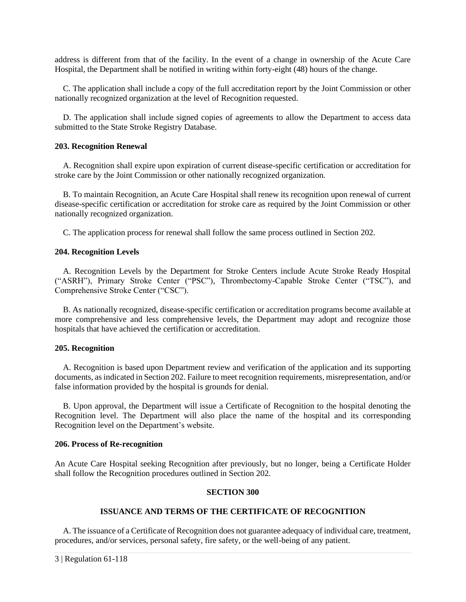address is different from that of the facility. In the event of a change in ownership of the Acute Care Hospital, the Department shall be notified in writing within forty-eight (48) hours of the change.

C. The application shall include a copy of the full accreditation report by the Joint Commission or other nationally recognized organization at the level of Recognition requested.

D. The application shall include signed copies of agreements to allow the Department to access data submitted to the State Stroke Registry Database.

#### <span id="page-4-0"></span>**203. Recognition Renewal**

A. Recognition shall expire upon expiration of current disease-specific certification or accreditation for stroke care by the Joint Commission or other nationally recognized organization.

B. To maintain Recognition, an Acute Care Hospital shall renew its recognition upon renewal of current disease-specific certification or accreditation for stroke care as required by the Joint Commission or other nationally recognized organization.

C. The application process for renewal shall follow the same process outlined in Section 202.

#### <span id="page-4-1"></span>**204. Recognition Levels**

A. Recognition Levels by the Department for Stroke Centers include Acute Stroke Ready Hospital ("ASRH"), Primary Stroke Center ("PSC"), Thrombectomy-Capable Stroke Center ("TSC"), and Comprehensive Stroke Center ("CSC").

B. As nationally recognized, disease-specific certification or accreditation programs become available at more comprehensive and less comprehensive levels, the Department may adopt and recognize those hospitals that have achieved the certification or accreditation.

#### <span id="page-4-2"></span>**205. Recognition**

A. Recognition is based upon Department review and verification of the application and its supporting documents, as indicated in Section 202. Failure to meet recognition requirements, misrepresentation, and/or false information provided by the hospital is grounds for denial.

B. Upon approval, the Department will issue a Certificate of Recognition to the hospital denoting the Recognition level. The Department will also place the name of the hospital and its corresponding Recognition level on the Department's website.

#### <span id="page-4-3"></span>**206. Process of Re-recognition**

<span id="page-4-4"></span>An Acute Care Hospital seeking Recognition after previously, but no longer, being a Certificate Holder shall follow the Recognition procedures outlined in Section 202.

# **SECTION 300**

# **ISSUANCE AND TERMS OF THE CERTIFICATE OF RECOGNITION**

A. The issuance of a Certificate of Recognition does not guarantee adequacy of individual care, treatment, procedures, and/or services, personal safety, fire safety, or the well-being of any patient.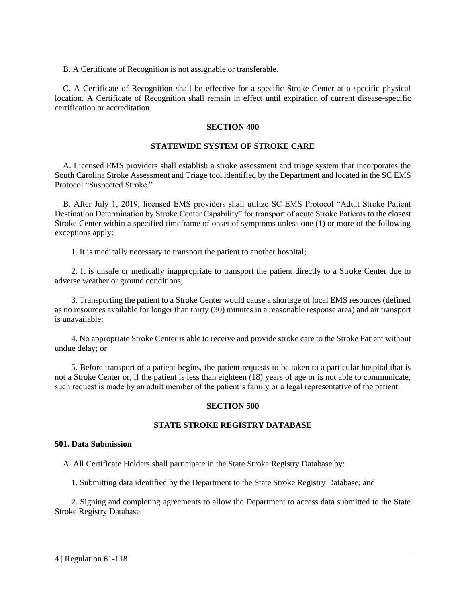B. A Certificate of Recognition is not assignable or transferable.

<span id="page-5-0"></span>C. A Certificate of Recognition shall be effective for a specific Stroke Center at a specific physical location. A Certificate of Recognition shall remain in effect until expiration of current disease-specific certification or accreditation.

# **SECTION 400**

# **STATEWIDE SYSTEM OF STROKE CARE**

A. Licensed EMS providers shall establish a stroke assessment and triage system that incorporates the South Carolina Stroke Assessment and Triage tool identified by the Department and located in the SC EMS Protocol "Suspected Stroke."

B. After July 1, 2019, licensed EMS providers shall utilize SC EMS Protocol "Adult Stroke Patient Destination Determination by Stroke Center Capability" for transport of acute Stroke Patients to the closest Stroke Center within a specified timeframe of onset of symptoms unless one (1) or more of the following exceptions apply:

1. It is medically necessary to transport the patient to another hospital;

2. It is unsafe or medically inappropriate to transport the patient directly to a Stroke Center due to adverse weather or ground conditions;

3. Transporting the patient to a Stroke Center would cause a shortage of local EMS resources (defined as no resources available for longer than thirty (30) minutes in a reasonable response area) and air transport is unavailable;

4. No appropriate Stroke Center is able to receive and provide stroke care to the Stroke Patient without undue delay; or

<span id="page-5-1"></span>5. Before transport of a patient begins, the patient requests to be taken to a particular hospital that is not a Stroke Center or, if the patient is less than eighteen (18) years of age or is not able to communicate, such request is made by an adult member of the patient's family or a legal representative of the patient.

# **SECTION 500**

# **STATE STROKE REGISTRY DATABASE**

#### <span id="page-5-2"></span>**501. Data Submission**

A. All Certificate Holders shall participate in the State Stroke Registry Database by:

1. Submitting data identified by the Department to the State Stroke Registry Database; and

2. Signing and completing agreements to allow the Department to access data submitted to the State Stroke Registry Database.